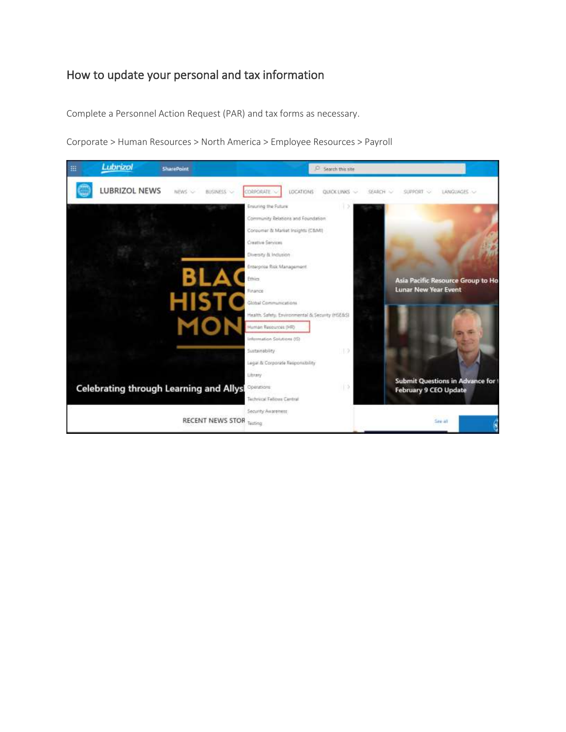## How to update your personal and tax information

Complete a Personnel Action Request (PAR) and tax forms as necessary.



Corporate > Human Resources > North America > Employee Resources > Payroll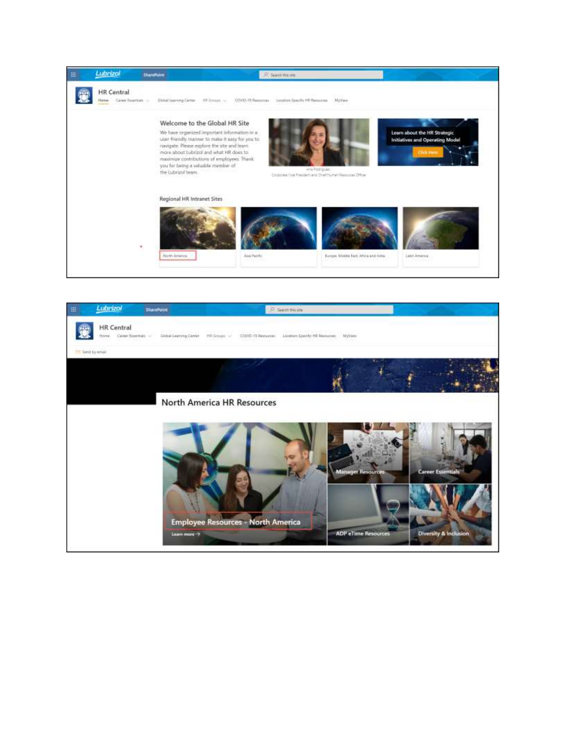

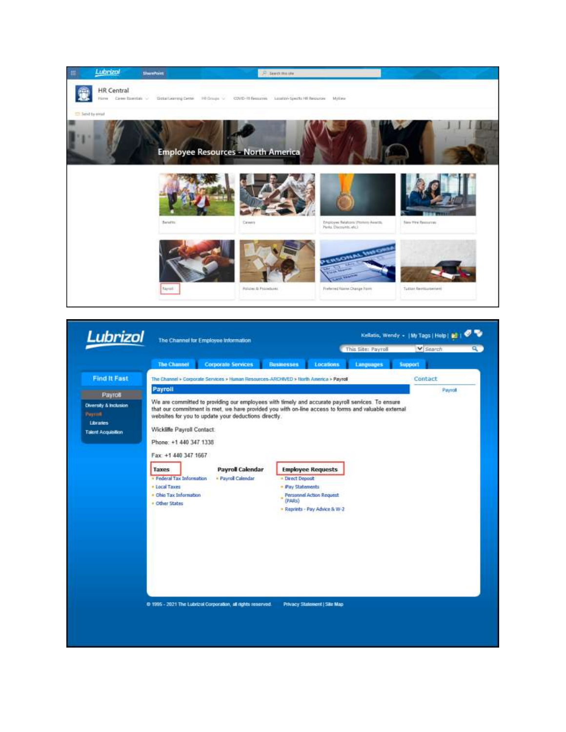

| Lubrizol                                                                             | The Channel for Employee Information                                                                                                                                                       |                                                                                               |                                                                                                                                                                                                                                                                                                                                                          | ۰.<br>Kellstis, Wendy +   My Tags   Help   20 |         |  |
|--------------------------------------------------------------------------------------|--------------------------------------------------------------------------------------------------------------------------------------------------------------------------------------------|-----------------------------------------------------------------------------------------------|----------------------------------------------------------------------------------------------------------------------------------------------------------------------------------------------------------------------------------------------------------------------------------------------------------------------------------------------------------|-----------------------------------------------|---------|--|
|                                                                                      |                                                                                                                                                                                            |                                                                                               |                                                                                                                                                                                                                                                                                                                                                          | This Site: Payroll                            | Search  |  |
|                                                                                      | <b>The Channel</b>                                                                                                                                                                         | Corporate Services                                                                            | <b>Busmesses</b><br><b>Locations</b>                                                                                                                                                                                                                                                                                                                     | Languages                                     | Support |  |
| <b>Find It Fast</b>                                                                  | The Channel > Corporate Services > Human Resources-ARCHIVED > North America > Payroll                                                                                                      |                                                                                               |                                                                                                                                                                                                                                                                                                                                                          |                                               | Contact |  |
| Payros<br>Diversity & Inclusion<br>Payrok.<br>Libraries<br><b>Talent Acquisition</b> | Payroll<br>Wickliffe Payroll Contact:<br>Phone: +1 440 347 1338<br>Fax: +1 440 347 1667<br>Taxes<br>· Federal Tax Information<br>. Local Taxes<br>· Ohio Tax Information<br>. Other States | websites for you to update your deductions directly.<br>Payroll Calendar<br>- Payrol Calendar | We are committed to providing our employees with timely and accurate payroll services. To ensure<br>that our commitment is met, we have provided you with on-line access to forms and valuable external<br><b>Employee Requests</b><br>- Drect Deposit<br>· Pay Statements<br><b>Personnel Action Request</b><br>(PARs)<br>- Reprints - Pay Advice & W-2 |                                               | Paynot  |  |